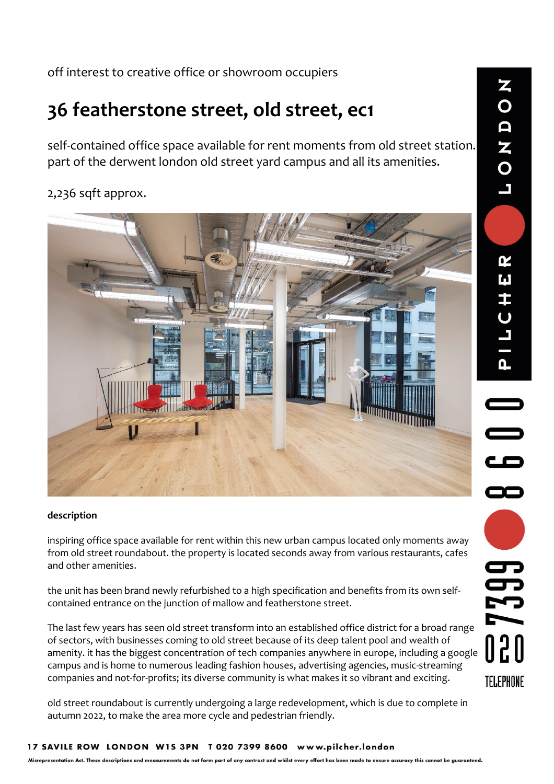off interest to creative office or showroom occupiers

# **36 featherstone street, old street, ec1**

self-contained office space available for rent moments from old street station. part of the derwent london old street yard campus and all its amenities.

# 2,236 sqft approx.



## **description**

inspiring office space available for rent within this new urban campus located only moments away from old street roundabout. the property is located seconds away from various restaurants, cafes and other amenities.

the unit has been brand newly refurbished to a high specification and benefits from its own selfcontained entrance on the junction of mallow and featherstone street.

The last few years has seen old street transform into an established office district for a broad range of sectors, with businesses coming to old street because of its deep talent pool and wealth of amenity. it has the biggest concentration of tech companies anywhere in europe, including a google campus and is home to numerous leading fashion houses, advertising agencies, music-streaming companies and not-for-profits; its diverse community is what makes it so vibrant and exciting.

old street roundabout is currently undergoing a large redevelopment, which is due to complete in autumn 2022, to make the area more cycle and pedestrian friendly.

FFR.

020

**TFI.FPHONF** 

#### 17 SAVILE ROW LONDON WIS 3PN T 020 7399 8600 www.pilcher.london

Misrepresentation Act. These descriptions and measurements do not form part of any contract and whilst every effort has been made to ensure accuracy this cannot be guaranteed.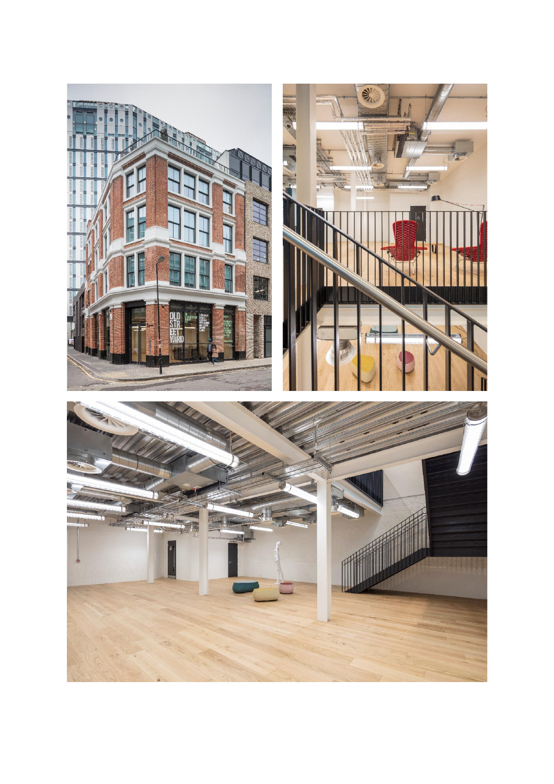